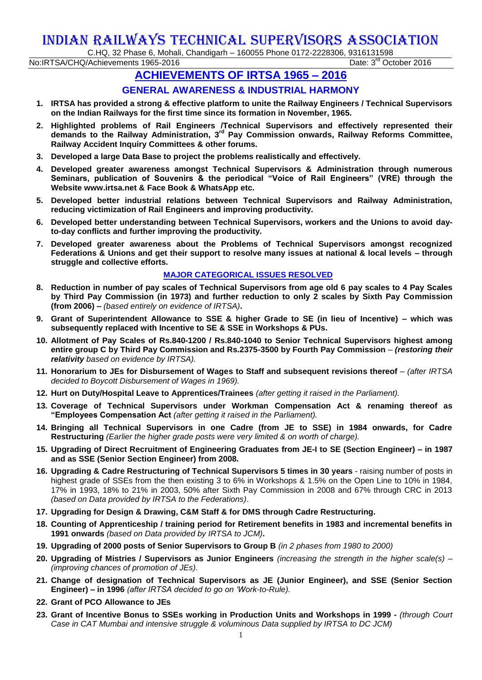## INDIAN RAILWAYS TECHNICAL SUPERVISORS ASSOCIATION

C.HQ, 32 Phase 6, Mohali, Chandigarh – 160055 Phone 0172-2228306, 9316131598

No:IRTSA/CHQ/Achievements 1965-2016

Date: 3<sup>rd</sup> October 2016

## **ACHIEVEMENTS OF IRTSA 1965 – 2016**

## **GENERAL AWARENESS & INDUSTRIAL HARMONY**

- **1. IRTSA has provided a strong & effective platform to unite the Railway Engineers / Technical Supervisors on the Indian Railways for the first time since its formation in November, 1965.**
- **2. Highlighted problems of Rail Engineers /Technical Supervisors and effectively represented their demands to the Railway Administration, 3 rd Pay Commission onwards, Railway Reforms Committee, Railway Accident Inquiry Committees & other forums.**
- **3. Developed a large Data Base to project the problems realistically and effectively.**
- **4. Developed greater awareness amongst Technical Supervisors & Administration through numerous Seminars, publication of Souvenirs & the periodical "Voice of Rail Engineers" (VRE) through the Website www.irtsa.net & Face Book & WhatsApp etc.**
- **5. Developed better industrial relations between Technical Supervisors and Railway Administration, reducing victimization of Rail Engineers and improving productivity.**
- **6. Developed better understanding between Technical Supervisors, workers and the Unions to avoid dayto-day conflicts and further improving the productivity.**
- **7. Developed greater awareness about the Problems of Technical Supervisors amongst recognized Federations & Unions and get their support to resolve many issues at national & local levels – through struggle and collective efforts.**

## **MAJOR CATEGORICAL ISSUES RESOLVED**

- **8. Reduction in number of pay scales of Technical Supervisors from age old 6 pay scales to 4 Pay Scales by Third Pay Commission (in 1973) and further reduction to only 2 scales by Sixth Pay Commission (from 2006) –** *(based entirely on evidence of IRTSA)***.**
- **9. Grant of Superintendent Allowance to SSE & higher Grade to SE (in lieu of Incentive) – which was subsequently replaced with Incentive to SE & SSE in Workshops & PUs.**
- **10. Allotment of Pay Scales of Rs.840-1200 / Rs.840-1040 to Senior Technical Supervisors highest among entire group C by Third Pay Commission and Rs.2375-3500 by Fourth Pay Commission** *– (restoring their relativity based on evidence by IRTSA).*
- **11. Honorarium to JEs for Disbursement of Wages to Staff and subsequent revisions thereof** *– (after IRTSA decided to Boycott Disbursement of Wages in 1969).*
- **12. Hurt on Duty/Hospital Leave to Apprentices/Trainees** *(after getting it raised in the Parliament).*
- **13. Coverage of Technical Supervisors under Workman Compensation Act & renaming thereof as "Employees Compensation Act** *(after getting it raised in the Parliament).*
- **14. Bringing all Technical Supervisors in one Cadre (from JE to SSE) in 1984 onwards, for Cadre Restructuring** *(Earlier the higher grade posts were very limited & on worth of charge).*
- **15. Upgrading of Direct Recruitment of Engineering Graduates from JE-I to SE (Section Engineer) – in 1987 and as SSE (Senior Section Engineer) from 2008.**
- **16. Upgrading & Cadre Restructuring of Technical Supervisors 5 times in 30 years** raising number of posts in highest grade of SSEs from the then existing 3 to 6% in Workshops & 1.5% on the Open Line to 10% in 1984, 17% in 1993, 18% to 21% in 2003, 50% after Sixth Pay Commission in 2008 and 67% through CRC in 2013 *(based on Data provided by IRTSA to the Federations)*.
- **17. Upgrading for Design & Drawing, C&M Staff & for DMS through Cadre Restructuring.**
- **18. Counting of Apprenticeship / training period for Retirement benefits in 1983 and incremental benefits in 1991 onwards** *(based on Data provided by IRTSA to JCM)***.**
- **19. Upgrading of 2000 posts of Senior Supervisors to Group B** *(in 2 phases from 1980 to 2000)*
- **20. Upgrading of Mistries / Supervisors as Junior Engineers** *(increasing the strength in the higher scale(s) – (improving chances of promotion of JEs).*
- **21. Change of designation of Technical Supervisors as JE (Junior Engineer), and SSE (Senior Section Engineer) – in 1996** *(after IRTSA decided to go on 'Work-to-Rule).*
- **22. Grant of PCO Allowance to JEs**
- **23. Grant of Incentive Bonus to SSEs working in Production Units and Workshops in 1999 -** *(through Court Case in CAT Mumbai and intensive struggle & voluminous Data supplied by IRTSA to DC JCM)*